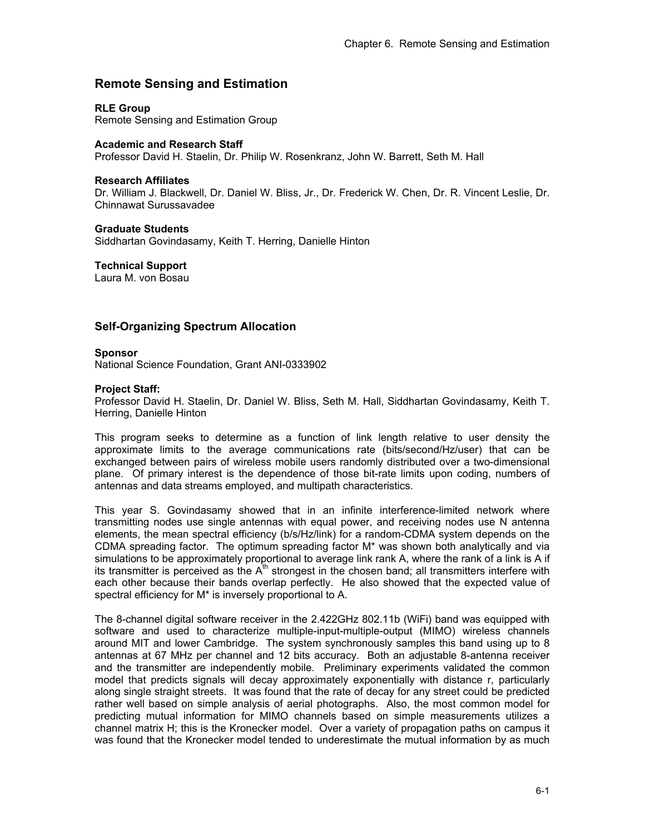# **Remote Sensing and Estimation**

## **RLE Group**

Remote Sensing and Estimation Group

## **Academic and Research Staff**

Professor David H. Staelin, Dr. Philip W. Rosenkranz, John W. Barrett, Seth M. Hall

#### **Research Affiliates**

Dr. William J. Blackwell, Dr. Daniel W. Bliss, Jr., Dr. Frederick W. Chen, Dr. R. Vincent Leslie, Dr. Chinnawat Surussavadee

#### **Graduate Students**

Siddhartan Govindasamy, Keith T. Herring, Danielle Hinton

**Technical Support** 

Laura M. von Bosau

# **Self-Organizing Spectrum Allocation**

#### **Sponsor**

National Science Foundation, Grant ANI-0333902

#### **Project Staff:**

Professor David H. Staelin, Dr. Daniel W. Bliss, Seth M. Hall, Siddhartan Govindasamy, Keith T. Herring, Danielle Hinton

This program seeks to determine as a function of link length relative to user density the approximate limits to the average communications rate (bits/second/Hz/user) that can be exchanged between pairs of wireless mobile users randomly distributed over a two-dimensional plane. Of primary interest is the dependence of those bit-rate limits upon coding, numbers of antennas and data streams employed, and multipath characteristics.

This year S. Govindasamy showed that in an infinite interference-limited network where transmitting nodes use single antennas with equal power, and receiving nodes use N antenna elements, the mean spectral efficiency (b/s/Hz/link) for a random-CDMA system depends on the CDMA spreading factor. The optimum spreading factor M\* was shown both analytically and via simulations to be approximately proportional to average link rank A, where the rank of a link is A if its transmitter is perceived as the  $A<sup>th</sup>$  strongest in the chosen band; all transmitters interfere with each other because their bands overlap perfectly. He also showed that the expected value of spectral efficiency for M\* is inversely proportional to A.

The 8-channel digital software receiver in the 2.422GHz 802.11b (WiFi) band was equipped with software and used to characterize multiple-input-multiple-output (MIMO) wireless channels around MIT and lower Cambridge. The system synchronously samples this band using up to 8 antennas at 67 MHz per channel and 12 bits accuracy. Both an adjustable 8-antenna receiver and the transmitter are independently mobile. Preliminary experiments validated the common model that predicts signals will decay approximately exponentially with distance r, particularly along single straight streets. It was found that the rate of decay for any street could be predicted rather well based on simple analysis of aerial photographs. Also, the most common model for predicting mutual information for MIMO channels based on simple measurements utilizes a channel matrix H; this is the Kronecker model. Over a variety of propagation paths on campus it was found that the Kronecker model tended to underestimate the mutual information by as much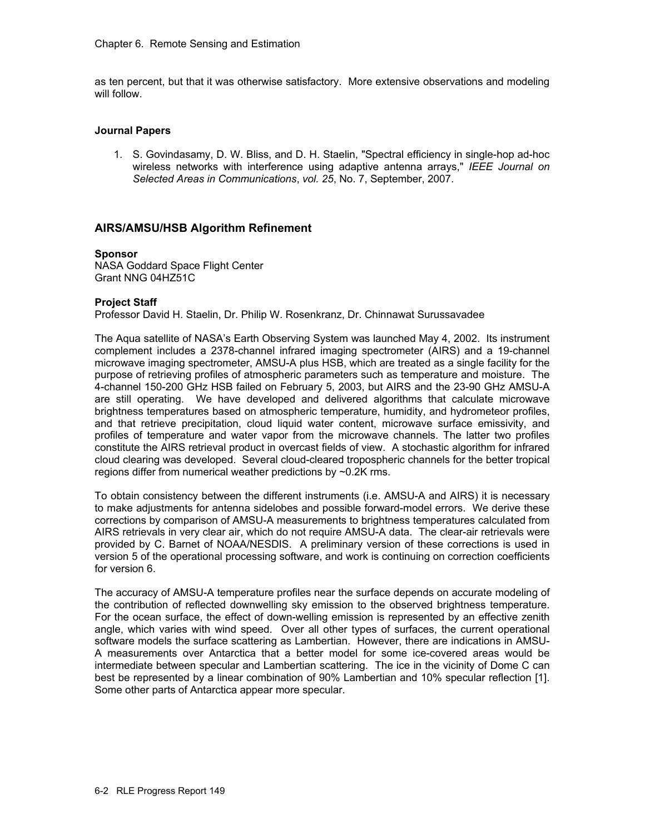as ten percent, but that it was otherwise satisfactory. More extensive observations and modeling will follow.

## **Journal Papers**

1. S. Govindasamy, D. W. Bliss, and D. H. Staelin, "Spectral efficiency in single-hop ad-hoc wireless networks with interference using adaptive antenna arrays," *IEEE Journal on Selected Areas in Communications*, *vol. 25*, No. 7, September, 2007.

## **AIRS/AMSU/HSB Algorithm Refinement**

#### **Sponsor**

NASA Goddard Space Flight Center Grant NNG 04HZ51C

## **Project Staff**

Professor David H. Staelin, Dr. Philip W. Rosenkranz, Dr. Chinnawat Surussavadee

The Aqua satellite of NASA's Earth Observing System was launched May 4, 2002. Its instrument complement includes a 2378-channel infrared imaging spectrometer (AIRS) and a 19-channel microwave imaging spectrometer, AMSU-A plus HSB, which are treated as a single facility for the purpose of retrieving profiles of atmospheric parameters such as temperature and moisture. The 4-channel 150-200 GHz HSB failed on February 5, 2003, but AIRS and the 23-90 GHz AMSU-A are still operating. We have developed and delivered algorithms that calculate microwave brightness temperatures based on atmospheric temperature, humidity, and hydrometeor profiles, and that retrieve precipitation, cloud liquid water content, microwave surface emissivity, and profiles of temperature and water vapor from the microwave channels. The latter two profiles constitute the AIRS retrieval product in overcast fields of view. A stochastic algorithm for infrared cloud clearing was developed. Several cloud-cleared tropospheric channels for the better tropical regions differ from numerical weather predictions by ~0.2K rms.

To obtain consistency between the different instruments (i.e. AMSU-A and AIRS) it is necessary to make adjustments for antenna sidelobes and possible forward-model errors. We derive these corrections by comparison of AMSU-A measurements to brightness temperatures calculated from AIRS retrievals in very clear air, which do not require AMSU-A data. The clear-air retrievals were provided by C. Barnet of NOAA/NESDIS. A preliminary version of these corrections is used in version 5 of the operational processing software, and work is continuing on correction coefficients for version 6.

The accuracy of AMSU-A temperature profiles near the surface depends on accurate modeling of the contribution of reflected downwelling sky emission to the observed brightness temperature. For the ocean surface, the effect of down-welling emission is represented by an effective zenith angle, which varies with wind speed. Over all other types of surfaces, the current operational software models the surface scattering as Lambertian. However, there are indications in AMSU-A measurements over Antarctica that a better model for some ice-covered areas would be intermediate between specular and Lambertian scattering. The ice in the vicinity of Dome C can best be represented by a linear combination of 90% Lambertian and 10% specular reflection [1]. Some other parts of Antarctica appear more specular.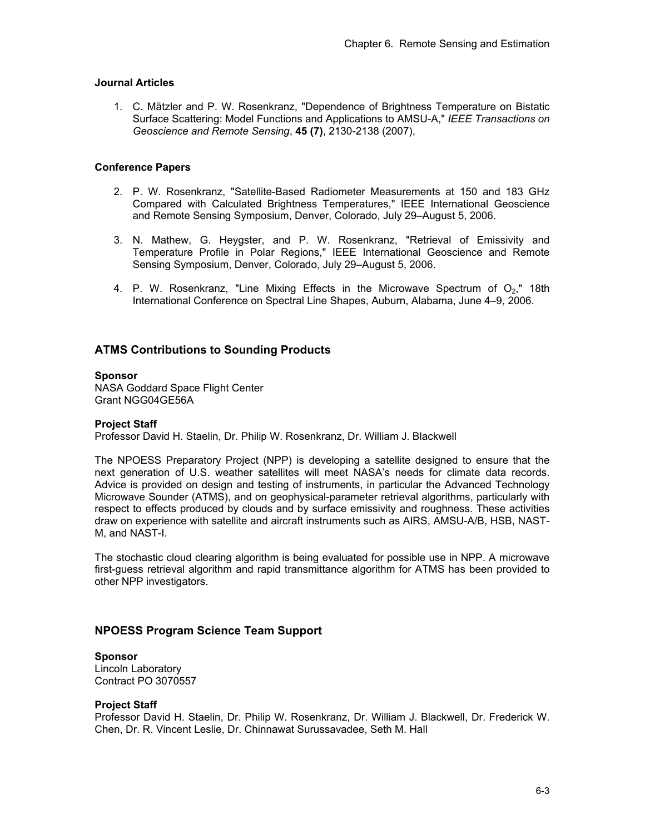## **Journal Articles**

1. C. Mätzler and P. W. Rosenkranz, "Dependence of Brightness Temperature on Bistatic Surface Scattering: Model Functions and Applications to AMSU-A," *IEEE Transactions on Geoscience and Remote Sensing*, **45 (7)**, 2130-2138 (2007),

## **Conference Papers**

- 2. P. W. Rosenkranz, "Satellite-Based Radiometer Measurements at 150 and 183 GHz Compared with Calculated Brightness Temperatures," IEEE International Geoscience and Remote Sensing Symposium, Denver, Colorado, July 29–August 5, 2006.
- 3. N. Mathew, G. Heygster, and P. W. Rosenkranz, "Retrieval of Emissivity and Temperature Profile in Polar Regions," IEEE International Geoscience and Remote Sensing Symposium, Denver, Colorado, July 29–August 5, 2006.
- 4. P. W. Rosenkranz, "Line Mixing Effects in the Microwave Spectrum of  $O_2$ ," 18th International Conference on Spectral Line Shapes, Auburn, Alabama, June 4–9, 2006.

# **ATMS Contributions to Sounding Products**

## **Sponsor**

NASA Goddard Space Flight Center Grant NGG04GE56A

## **Project Staff**

Professor David H. Staelin, Dr. Philip W. Rosenkranz, Dr. William J. Blackwell

The NPOESS Preparatory Project (NPP) is developing a satellite designed to ensure that the next generation of U.S. weather satellites will meet NASA's needs for climate data records. Advice is provided on design and testing of instruments, in particular the Advanced Technology Microwave Sounder (ATMS), and on geophysical-parameter retrieval algorithms, particularly with respect to effects produced by clouds and by surface emissivity and roughness. These activities draw on experience with satellite and aircraft instruments such as AIRS, AMSU-A/B, HSB, NAST-M, and NAST-I.

The stochastic cloud clearing algorithm is being evaluated for possible use in NPP. A microwave first-guess retrieval algorithm and rapid transmittance algorithm for ATMS has been provided to other NPP investigators.

# **NPOESS Program Science Team Support**

# **Sponsor**

Lincoln Laboratory Contract PO 3070557

## **Project Staff**

Professor David H. Staelin, Dr. Philip W. Rosenkranz, Dr. William J. Blackwell, Dr. Frederick W. Chen, Dr. R. Vincent Leslie, Dr. Chinnawat Surussavadee, Seth M. Hall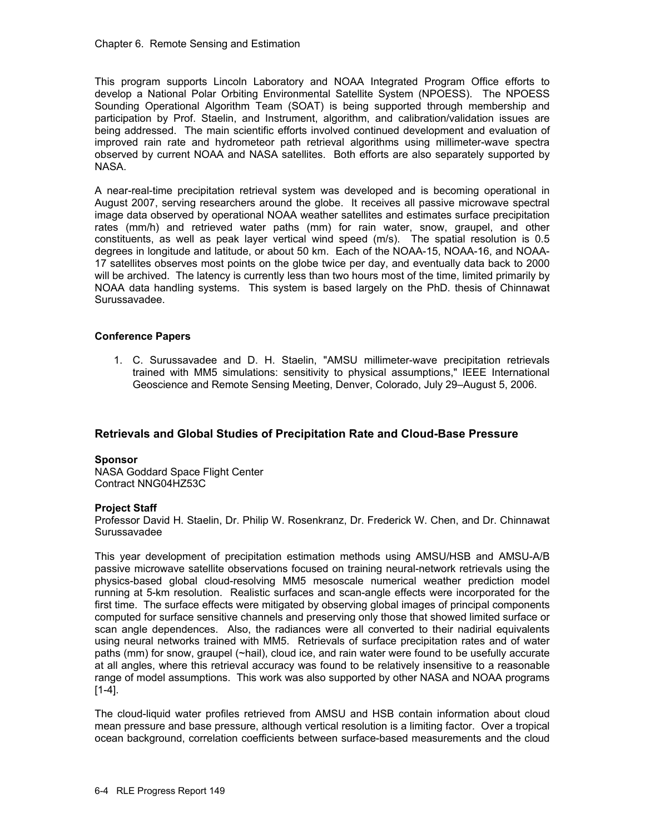This program supports Lincoln Laboratory and NOAA Integrated Program Office efforts to develop a National Polar Orbiting Environmental Satellite System (NPOESS). The NPOESS Sounding Operational Algorithm Team (SOAT) is being supported through membership and participation by Prof. Staelin, and Instrument, algorithm, and calibration/validation issues are being addressed. The main scientific efforts involved continued development and evaluation of improved rain rate and hydrometeor path retrieval algorithms using millimeter-wave spectra observed by current NOAA and NASA satellites. Both efforts are also separately supported by NASA.

A near-real-time precipitation retrieval system was developed and is becoming operational in August 2007, serving researchers around the globe. It receives all passive microwave spectral image data observed by operational NOAA weather satellites and estimates surface precipitation rates (mm/h) and retrieved water paths (mm) for rain water, snow, graupel, and other constituents, as well as peak layer vertical wind speed (m/s). The spatial resolution is 0.5 degrees in longitude and latitude, or about 50 km. Each of the NOAA-15, NOAA-16, and NOAA-17 satellites observes most points on the globe twice per day, and eventually data back to 2000 will be archived. The latency is currently less than two hours most of the time, limited primarily by NOAA data handling systems. This system is based largely on the PhD. thesis of Chinnawat Surussavadee.

## **Conference Papers**

1. C. Surussavadee and D. H. Staelin, "AMSU millimeter-wave precipitation retrievals trained with MM5 simulations: sensitivity to physical assumptions," IEEE International Geoscience and Remote Sensing Meeting, Denver, Colorado, July 29–August 5, 2006.

# **Retrievals and Global Studies of Precipitation Rate and Cloud-Base Pressure**

## **Sponsor**

NASA Goddard Space Flight Center Contract NNG04HZ53C

## **Project Staff**

Professor David H. Staelin, Dr. Philip W. Rosenkranz, Dr. Frederick W. Chen, and Dr. Chinnawat Surussavadee

This year development of precipitation estimation methods using AMSU/HSB and AMSU-A/B passive microwave satellite observations focused on training neural-network retrievals using the physics-based global cloud-resolving MM5 mesoscale numerical weather prediction model running at 5-km resolution. Realistic surfaces and scan-angle effects were incorporated for the first time. The surface effects were mitigated by observing global images of principal components computed for surface sensitive channels and preserving only those that showed limited surface or scan angle dependences. Also, the radiances were all converted to their nadirial equivalents using neural networks trained with MM5. Retrievals of surface precipitation rates and of water paths (mm) for snow, graupel (~hail), cloud ice, and rain water were found to be usefully accurate at all angles, where this retrieval accuracy was found to be relatively insensitive to a reasonable range of model assumptions. This work was also supported by other NASA and NOAA programs [1-4].

The cloud-liquid water profiles retrieved from AMSU and HSB contain information about cloud mean pressure and base pressure, although vertical resolution is a limiting factor. Over a tropical ocean background, correlation coefficients between surface-based measurements and the cloud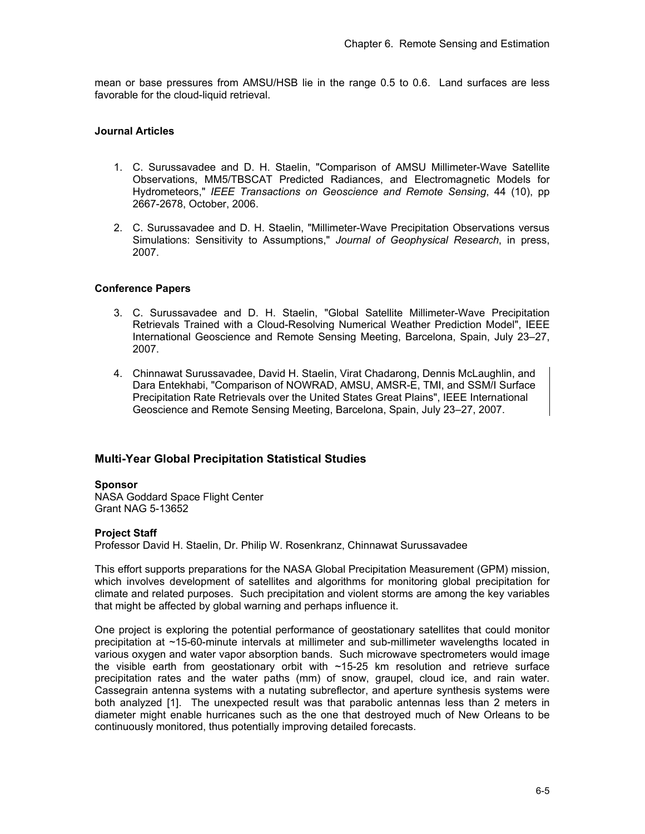mean or base pressures from AMSU/HSB lie in the range 0.5 to 0.6. Land surfaces are less favorable for the cloud-liquid retrieval.

## **Journal Articles**

- 1. C. Surussavadee and D. H. Staelin, "Comparison of AMSU Millimeter-Wave Satellite Observations, MM5/TBSCAT Predicted Radiances, and Electromagnetic Models for Hydrometeors," *IEEE Transactions on Geoscience and Remote Sensing*, 44 (10), pp 2667-2678, October, 2006.
- 2. C. Surussavadee and D. H. Staelin, "Millimeter-Wave Precipitation Observations versus Simulations: Sensitivity to Assumptions," *Journal of Geophysical Research*, in press, 2007.

## **Conference Papers**

- 3. C. Surussavadee and D. H. Staelin, "Global Satellite Millimeter-Wave Precipitation Retrievals Trained with a Cloud-Resolving Numerical Weather Prediction Model", IEEE International Geoscience and Remote Sensing Meeting, Barcelona, Spain, July 23–27, 2007.
- 4. Chinnawat Surussavadee, David H. Staelin, Virat Chadarong, Dennis McLaughlin, and Dara Entekhabi, "Comparison of NOWRAD, AMSU, AMSR-E, TMI, and SSM/I Surface Precipitation Rate Retrievals over the United States Great Plains", IEEE International Geoscience and Remote Sensing Meeting, Barcelona, Spain, July 23–27, 2007.

# **Multi-Year Global Precipitation Statistical Studies**

## **Sponsor**

NASA Goddard Space Flight Center Grant NAG 5-13652

## **Project Staff**

Professor David H. Staelin, Dr. Philip W. Rosenkranz, Chinnawat Surussavadee

This effort supports preparations for the NASA Global Precipitation Measurement (GPM) mission, which involves development of satellites and algorithms for monitoring global precipitation for climate and related purposes. Such precipitation and violent storms are among the key variables that might be affected by global warning and perhaps influence it.

One project is exploring the potential performance of geostationary satellites that could monitor precipitation at ~15-60-minute intervals at millimeter and sub-millimeter wavelengths located in various oxygen and water vapor absorption bands. Such microwave spectrometers would image the visible earth from geostationary orbit with ~15-25 km resolution and retrieve surface precipitation rates and the water paths (mm) of snow, graupel, cloud ice, and rain water. Cassegrain antenna systems with a nutating subreflector, and aperture synthesis systems were both analyzed [1]. The unexpected result was that parabolic antennas less than 2 meters in diameter might enable hurricanes such as the one that destroyed much of New Orleans to be continuously monitored, thus potentially improving detailed forecasts.